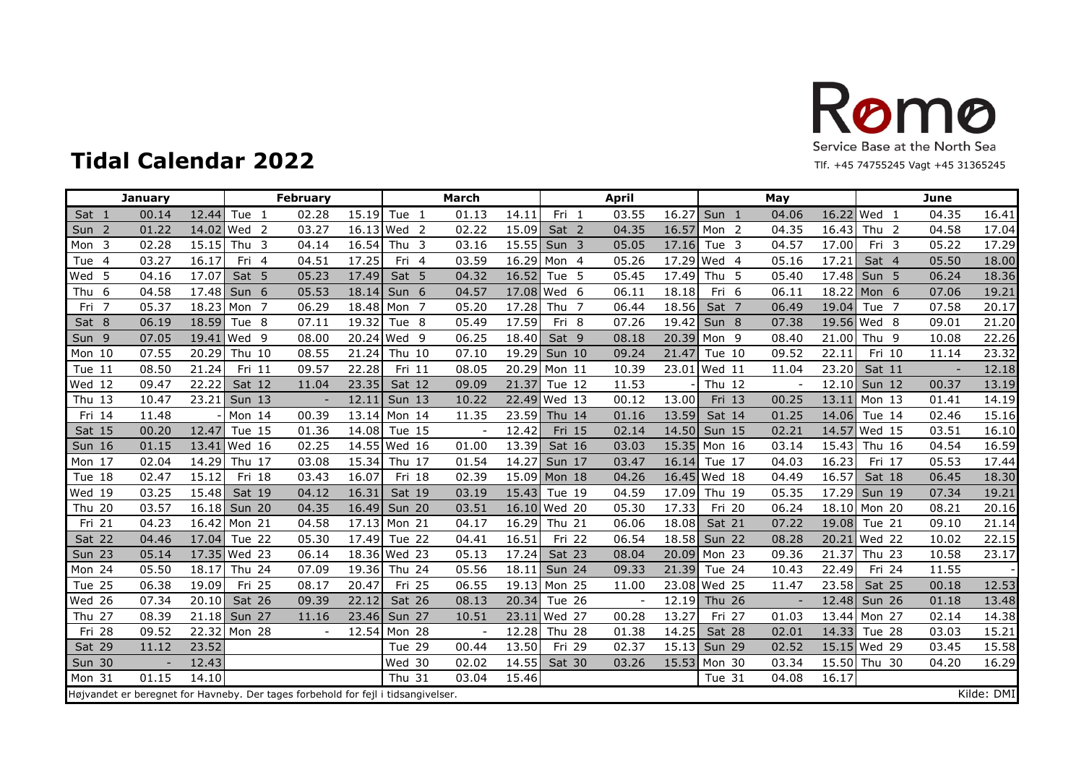

| <b>January</b>        |                         |                  | <b>February</b>                                                                   |                | March                    |       |                        | <b>April</b> |       |                  | May   |       |                       | June                     |            |
|-----------------------|-------------------------|------------------|-----------------------------------------------------------------------------------|----------------|--------------------------|-------|------------------------|--------------|-------|------------------|-------|-------|-----------------------|--------------------------|------------|
| Sat 1                 | 00.14<br>12.44          | Tue 1            | 02.28<br>15.19                                                                    | Tue 1          | 01.13                    | 14.11 | Fri 1                  | 03.55        | 16.27 | Sun 1            | 04.06 |       | 16.22 Wed 1           | 04.35                    | 16.41      |
| Sun 2                 | 01.22                   | 14.02 Wed 2      | 03.27                                                                             | 16.13 Wed 2    | 02.22                    | 15.09 | Sat 2                  | 04.35        | 16.57 | Mon <sub>2</sub> | 04.35 | 16.43 | Thu <sub>2</sub>      | 04.58                    | 17.04      |
| Mon 3                 | 02.28<br>15.15          | Thu <sub>3</sub> | 16.54<br>04.14                                                                    | Thu $3$        | 03.16                    | 15.55 | Sun 3                  | 05.05        |       | 17.16 Tue 3      | 04.57 | 17.00 | Fri 3                 | 05.22                    | 17.29      |
| Tue<br>$\overline{4}$ | 03.27<br>16.17          | Fri 4            | 04.51<br>17.25                                                                    | Fri 4          | 03.59                    | 16.29 | Mon 4                  | 05.26        |       | 17.29 Wed 4      | 05.16 | 17.21 | Sat 4                 | 05.50                    | 18.00      |
| 5<br>Wed              | 04.16<br>17.07          | Sat 5            | 05.23<br>17.49                                                                    | Sat 5          | 04.32                    | 16.52 | Tue 5                  | 05.45        |       | 17.49 Thu 5      | 05.40 | 17.48 | Sun <sub>5</sub>      | 06.24                    | 18.36      |
| Thu 6                 | 04.58<br>17.48          | Sun 6            | 05.53<br>18.14                                                                    | Sun 6          | 04.57                    | 17.08 | Wed 6                  | 06.11        | 18.18 | Fri 6            | 06.11 | 18.22 | Mon 6                 | 07.06                    | 19.21      |
| $\overline{7}$<br>Fri | 05.37                   | 18.23 Mon 7      | 06.29                                                                             | 18.48 Mon<br>7 | 05.20                    | 17.28 | Thu <sub>7</sub>       | 06.44        | 18.56 | Sat 7            | 06.49 | 19.04 | $\overline{7}$<br>Tue | 07.58                    | 20.17      |
| Sat 8                 | 06.19<br>18.59          | Tue 8            | 07.11<br>19.32                                                                    | Tue 8          | 05.49                    | 17.59 | Fri 8                  | 07.26        | 19.42 | Sun 8            | 07.38 |       | 19.56 Wed 8           | 09.01                    | 21.20      |
| Sun 9                 | 07.05                   | 19.41 Wed 9      | 08.00                                                                             | 20.24 Wed 9    | 06.25                    | 18.40 | Sat 9                  | 08.18        |       | 20.39 Mon 9      | 08.40 | 21.00 | Thu <sub>9</sub>      | 10.08                    | 22.26      |
| Mon 10                | 07.55<br>20.29          | Thu 10           | 08.55<br>21.24                                                                    | Thu 10         | 07.10                    | 19.29 | <b>Sun 10</b>          | 09.24        | 21.47 | Tue 10           | 09.52 | 22.11 | Fri 10                | 11.14                    | 23.32      |
| Tue 11                | 08.50<br>21.24          | Fri 11           | 09.57<br>22.28                                                                    | Fri 11         | 08.05                    | 20.29 | Mon 11                 | 10.39        | 23.01 | <b>Wed 11</b>    | 11.04 | 23.20 | Sat 11                | $\overline{\phantom{a}}$ | 12.18      |
| Wed 12                | 09.47<br>22.22          | Sat 12           | 11.04<br>23.35                                                                    | Sat 12         | 09.09                    | 21.37 | Tue 12                 | 11.53        |       | Thu 12           |       | 12.10 | Sun 12                | 00.37                    | 13.19      |
| Thu $13$              | 10.47                   | 23.21 Sun 13     | 12.11                                                                             | <b>Sun 13</b>  | 10.22                    | 22.49 | $\sqrt{\text{Wed}}$ 13 | 00.12        | 13.00 | Fri 13           | 00.25 |       | 13.11 Mon 13          | 01.41                    | 14.19      |
| Fri 14                | 11.48                   | Mon 14           | 00.39                                                                             | 13.14 Mon 14   | 11.35                    | 23.59 | Thu 14                 | 01.16        | 13.59 | Sat 14           | 01.25 | 14.06 | Tue 14                | 02.46                    | 15.16      |
| Sat 15                | 00.20<br>12.47          | Tue 15           | 01.36<br>14.08                                                                    | Tue 15         |                          | 12.42 | Fri 15                 | 02.14        |       | 14.50 Sun 15     | 02.21 | 14.57 | Wed 15                | 03.51                    | 16.10      |
| <b>Sun 16</b>         | 01.15<br>13.41          | Wed 16           | 02.25                                                                             | 14.55 Wed 16   | 01.00                    | 13.39 | Sat 16                 | 03.03        |       | 15.35 Mon 16     | 03.14 | 15.43 | Thu 16                | 04.54                    | 16.59      |
| Mon 17                | 02.04<br>14.29          | Thu 17           | 15.34<br>03.08                                                                    | Thu 17         | 01.54                    | 14.27 | <b>Sun 17</b>          | 03.47        |       | 16.14 Tue 17     | 04.03 | 16.23 | Fri 17                | 05.53                    | 17.44      |
| Tue 18                | 02.47<br>15.12          | Fri 18           | 16.07<br>03.43                                                                    | Fri 18         | 02.39                    |       | 15.09 Mon 18           | 04.26        |       | 16.45 Wed 18     | 04.49 | 16.57 | Sat 18                | 06.45                    | 18.30      |
| Wed 19                | 03.25<br>15.48          | Sat 19           | 16.31<br>04.12                                                                    | Sat 19         | 03.19                    | 15.43 | Tue 19                 | 04.59        |       | 17.09 Thu 19     | 05.35 | 17.29 | Sun 19                | 07.34                    | 19.21      |
| Thu 20                | 03.57                   | 16.18 Sun 20     | 04.35<br>16.49                                                                    | Sun 20         | 03.51                    | 16.10 | Wed 20                 | 05.30        | 17.33 | Fri 20           | 06.24 |       | 18.10 Mon 20          | 08.21                    | 20.16      |
| Fri 21                | 04.23                   | 16.42 Mon 21     | 04.58                                                                             | 17.13 Mon 21   | 04.17                    | 16.29 | <b>Thu 21</b>          | 06.06        | 18.08 | Sat 21           | 07.22 | 19.08 | Tue 21                | 09.10                    | 21.14      |
| Sat 22                | 04.46                   | 17.04 Tue 22     | 05.30<br>17.49                                                                    | Tue 22         | 04.41                    | 16.51 | Fri 22                 | 06.54        |       | 18.58 Sun 22     | 08.28 |       | 20.21 Wed 22          | 10.02                    | 22.15      |
| <b>Sun 23</b>         | 05.14                   | 17.35 Wed 23     | 06.14                                                                             | 18.36 Wed 23   | 05.13                    | 17.24 | Sat 23                 | 08.04        |       | 20.09 Mon 23     | 09.36 | 21.37 | Thu 23                | 10.58                    | 23.17      |
| Mon 24                | 05.50<br>18.17          | Thu 24           | 07.09<br>19.36                                                                    | <b>Thu 24</b>  | 05.56                    | 18.11 | <b>Sun 24</b>          | 09.33        |       | 21.39 Tue 24     | 10.43 | 22.49 | Fri 24                | 11.55                    |            |
| Tue 25                | 06.38<br>19.09          | Fri 25           | 08.17<br>20.47                                                                    | Fri 25         | 06.55                    | 19.13 | Mon 25                 | 11.00        |       | 23.08 Wed 25     | 11.47 | 23.58 | Sat 25                | 00.18                    | 12.53      |
| <b>Wed 26</b>         | 07.34<br>20.10          | Sat 26           | 09.39<br>22.12                                                                    | Sat 26         | 08.13                    | 20.34 | Tue 26                 |              |       | 12.19 Thu 26     |       | 12.48 | Sun 26                | 01.18                    | 13.48      |
| Thu 27                | 08.39                   | 21.18 Sun 27     | 23.46<br>11.16                                                                    | Sun 27         | 10.51                    |       | 23.11 Wed 27           | 00.28        | 13.27 | Fri 27           | 01.03 |       | 13.44 Mon 27          | 02.14                    | 14.38      |
| Fri 28                | 09.52                   | 22.32 Mon 28     | 12.54                                                                             | Mon 28         | $\overline{\phantom{a}}$ | 12.28 | <b>Thu 28</b>          | 01.38        | 14.25 | Sat 28           | 02.01 | 14.33 | Tue 28                | 03.03                    | 15.21      |
| Sat 29                | 23.52<br>11.12          |                  |                                                                                   | Tue 29         | 00.44                    | 13.50 | Fri 29                 | 02.37        |       | 15.13 Sun 29     | 02.52 |       | 15.15 Wed 29          | 03.45                    | 15.58      |
| <b>Sun 30</b>         | 12.43<br>$\overline{a}$ |                  |                                                                                   | Wed 30         | 02.02                    | 14.55 | Sat 30                 | 03.26        |       | 15.53 Mon 30     | 03.34 | 15.50 | Thu 30                | 04.20                    | 16.29      |
| Mon 31                | 01.15<br>14.10          |                  |                                                                                   | Thu 31         | 03.04                    | 15.46 |                        |              |       | Tue 31           | 04.08 | 16.17 |                       |                          |            |
|                       |                         |                  | Højvandet er beregnet for Havneby. Der tages forbehold for fejl i tidsangivelser. |                |                          |       |                        |              |       |                  |       |       |                       |                          | Kilde: DMI |